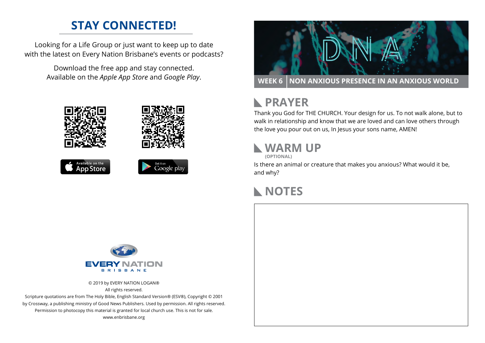## **STAY CONNECTED!**

Looking for a Life Group or just want to keep up to date with the latest on Every Nation Brisbane's events or podcasts?

Download the free app and stay connected.











**RAYER** 

Thank you God for THE CHURCH. Your design for us. To not walk alone, but to walk in relationship and know that we are loved and can love others through the love you pour out on us, In Jesus your sons name, AMEN!

### **WARM UP**

**(OPTIONAL)**

Is there an animal or creature that makes you anxious? What would it be, and why?

#### **NOTES**



© 2019 by EVERY NATION LOGAN® All rights reserved.

Scripture quotations are from The Holy Bible, English Standard Version® (ESV®), Copyright © 2001 by Crossway, a publishing ministry of Good News Publishers. Used by permission. All rights reserved. Permission to photocopy this material is granted for local church use. This is not for sale. www.enbrisbane.org